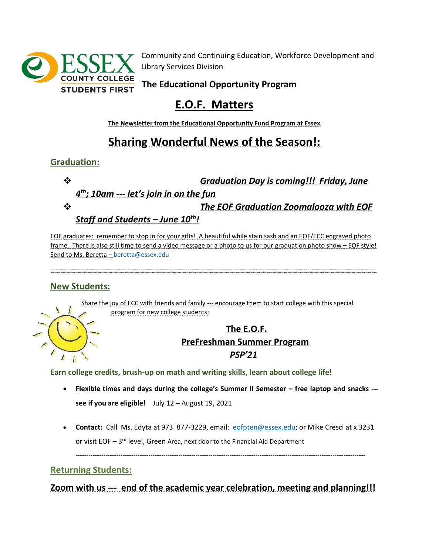

Community and Continuing Education, Workforce Development and Library Services Division

**The Educational Opportunity Program**

# **E.O.F. Matters**

**The Newsletter from the Educational Opportunity Fund Program at Essex**

## **Sharing Wonderful News of the Season!:**

#### **Graduation:**

❖ *Graduation Day is coming!!! Friday, June 4 th; 10am --- let's join in on the fun* 

❖ *The EOF Graduation Zoomalooza with EOF* 

*Staff and Students – June 10th!*

EOF graduates: remember to stop in for your gifts! A beautiful while stain sash and an EOF/ECC engraved photo frame. There is also still time to send a video message or a photo to us for our graduation photo show – EOF style! Send to Ms. Beretta – [beretta@essex.edu](mailto:beretta@essex.edu)

--------------------------------------------------------------------------------------------------------------------------------------------------------

#### **New Students:**

Share the joy of ECC with friends and family --- encourage them to start college with this special program for new college students:



### **The E.O.F. PreFreshman Summer Program** *PSP'21*

**Earn college credits, brush-up on math and writing skills, learn about college life!**

- **Flexible times and days during the college's Summer II Semester – free laptop and snacks -- see if you are eligible!** July 12 – August 19, 2021
- **Contact:** Call Ms. Edyta at 973 877-3229, email: [eofpten@essex.edu;](mailto:eofpten@essex.edu) or Mike Cresci at x 3231 or visit EOF - 3<sup>rd</sup> level, Green Area, next door to the Financial Aid Department

---------------------------------------------------------------------------------------------------------------------------------------

#### **Returning Students:**

**Zoom with us --- end of the academic year celebration, meeting and planning!!!**